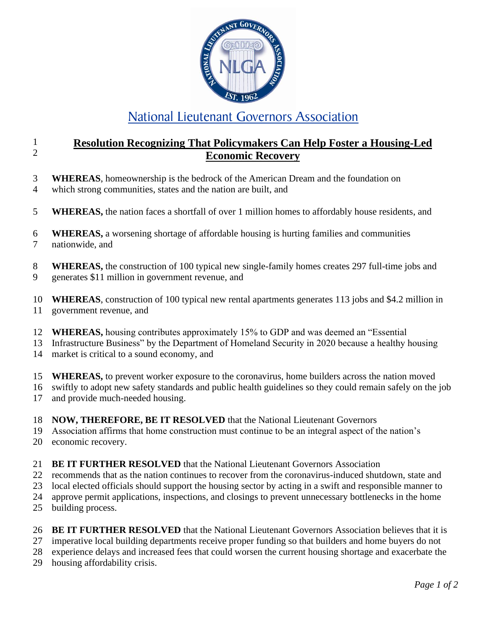

## National Lieutenant Governors Association

## 1 2 **Resolution Recognizing That Policymakers Can Help Foster a Housing-Led Economic Recovery**

- 3 **WHEREAS**, homeownership is the bedrock of the American Dream and the foundation on
- 4 which strong communities, states and the nation are built, and
- 5 **WHEREAS,** the nation faces a shortfall of over 1 million homes to affordably house residents, and
- 6 7 **WHEREAS,** a worsening shortage of affordable housing is hurting families and communities nationwide, and
- 8 9 **WHEREAS,** the construction of 100 typical new single-family homes creates 297 full-time jobs and generates \$11 million in government revenue, and

10 11 **WHEREAS**, construction of 100 typical new rental apartments generates 113 jobs and \$4.2 million in government revenue, and

- 12 **WHEREAS,** housing contributes approximately 15% to GDP and was deemed an "Essential
- 13 Infrastructure Business" by the Department of Homeland Security in 2020 because a healthy housing
- 14 market is critical to a sound economy, and
- 15 **WHEREAS,** to prevent worker exposure to the coronavirus, home builders across the nation moved
- 16 swiftly to adopt new safety standards and public health guidelines so they could remain safely on the job
- 17 and provide much-needed housing.
- 18 **NOW, THEREFORE, BE IT RESOLVED** that the National Lieutenant Governors
- 19 Association affirms that home construction must continue to be an integral aspect of the nation's
- 20 economic recovery.
- 21 **BE IT FURTHER RESOLVED** that the National Lieutenant Governors Association
- 22 recommends that as the nation continues to recover from the coronavirus-induced shutdown, state and
- 23 local elected officials should support the housing sector by acting in a swift and responsible manner to
- 24 approve permit applications, inspections, and closings to prevent unnecessary bottlenecks in the home
- 25 building process.
- 26 **BE IT FURTHER RESOLVED** that the National Lieutenant Governors Association believes that it is
- 27 imperative local building departments receive proper funding so that builders and home buyers do not
- 28 experience delays and increased fees that could worsen the current housing shortage and exacerbate the
- 29 housing affordability crisis.